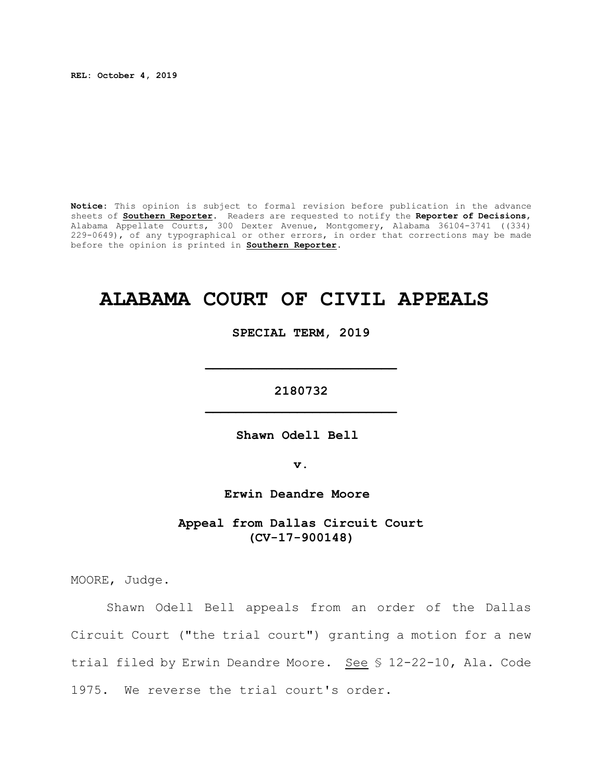**REL: October 4, 2019**

**Notice:** This opinion is subject to formal revision before publication in the advance sheets of **Southern Reporter**. Readers are requested to notify the **Reporter of Decisions**, Alabama Appellate Courts, 300 Dexter Avenue, Montgomery, Alabama 36104-3741 ((334) 229-0649), of any typographical or other errors, in order that corrections may be made before the opinion is printed in **Southern Reporter**.

# **ALABAMA COURT OF CIVIL APPEALS**

**SPECIAL TERM, 2019**

**2180732 \_\_\_\_\_\_\_\_\_\_\_\_\_\_\_\_\_\_\_\_\_\_\_\_\_**

**\_\_\_\_\_\_\_\_\_\_\_\_\_\_\_\_\_\_\_\_\_\_\_\_\_**

**Shawn Odell Bell** 

**v.**

**Erwin Deandre Moore** 

**Appeal from Dallas Circuit Court (CV-17-900148)**

MOORE, Judge.

Shawn Odell Bell appeals from an order of the Dallas Circuit Court ("the trial court") granting a motion for a new trial filed by Erwin Deandre Moore. See § 12-22-10, Ala. Code 1975. We reverse the trial court's order.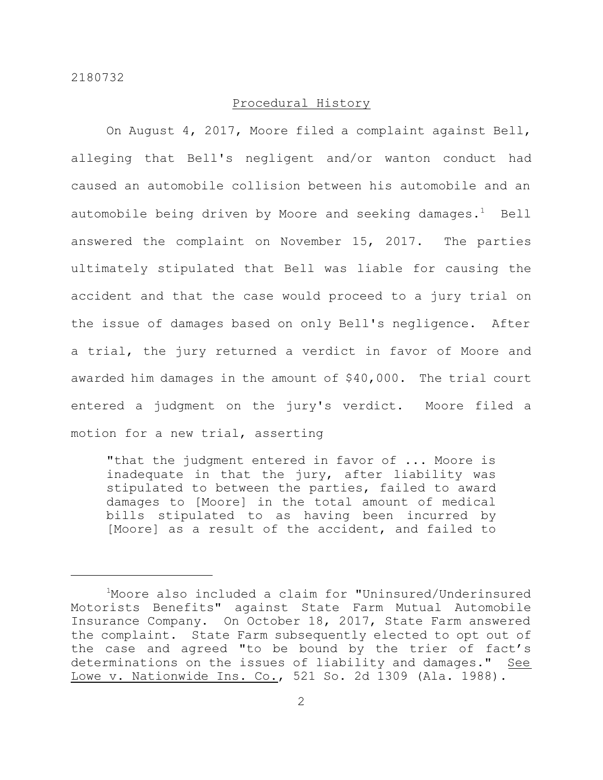## Procedural History

On August 4, 2017, Moore filed a complaint against Bell, alleging that Bell's negligent and/or wanton conduct had caused an automobile collision between his automobile and an automobile being driven by Moore and seeking damages.<sup>1</sup> Bell answered the complaint on November 15, 2017. The parties ultimately stipulated that Bell was liable for causing the accident and that the case would proceed to a jury trial on the issue of damages based on only Bell's negligence. After a trial, the jury returned a verdict in favor of Moore and awarded him damages in the amount of \$40,000. The trial court entered a judgment on the jury's verdict. Moore filed a motion for a new trial, asserting

"that the judgment entered in favor of ... Moore is inadequate in that the jury, after liability was stipulated to between the parties, failed to award damages to [Moore] in the total amount of medical bills stipulated to as having been incurred by [Moore] as a result of the accident, and failed to

<sup>1</sup>Moore also included a claim for "Uninsured/Underinsured Motorists Benefits" against State Farm Mutual Automobile Insurance Company. On October 18, 2017, State Farm answered the complaint. State Farm subsequently elected to opt out of the case and agreed "to be bound by the trier of fact's determinations on the issues of liability and damages." See Lowe v. Nationwide Ins. Co., 521 So. 2d 1309 (Ala. 1988).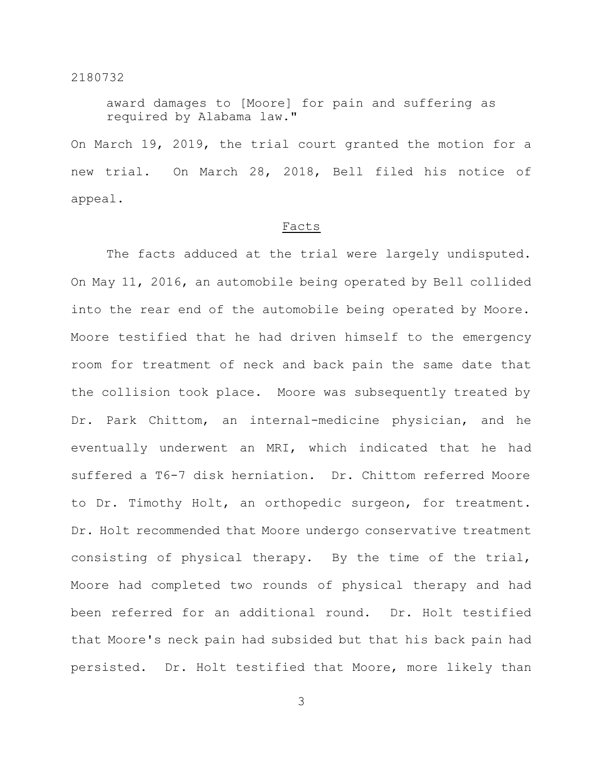award damages to [Moore] for pain and suffering as required by Alabama law." On March 19, 2019, the trial court granted the motion for a new trial. On March 28, 2018, Bell filed his notice of appeal.

## Facts

The facts adduced at the trial were largely undisputed. On May 11, 2016, an automobile being operated by Bell collided into the rear end of the automobile being operated by Moore. Moore testified that he had driven himself to the emergency room for treatment of neck and back pain the same date that the collision took place. Moore was subsequently treated by Dr. Park Chittom, an internal-medicine physician, and he eventually underwent an MRI, which indicated that he had suffered a T6-7 disk herniation. Dr. Chittom referred Moore to Dr. Timothy Holt, an orthopedic surgeon, for treatment. Dr. Holt recommended that Moore undergo conservative treatment consisting of physical therapy. By the time of the trial, Moore had completed two rounds of physical therapy and had been referred for an additional round. Dr. Holt testified that Moore's neck pain had subsided but that his back pain had persisted. Dr. Holt testified that Moore, more likely than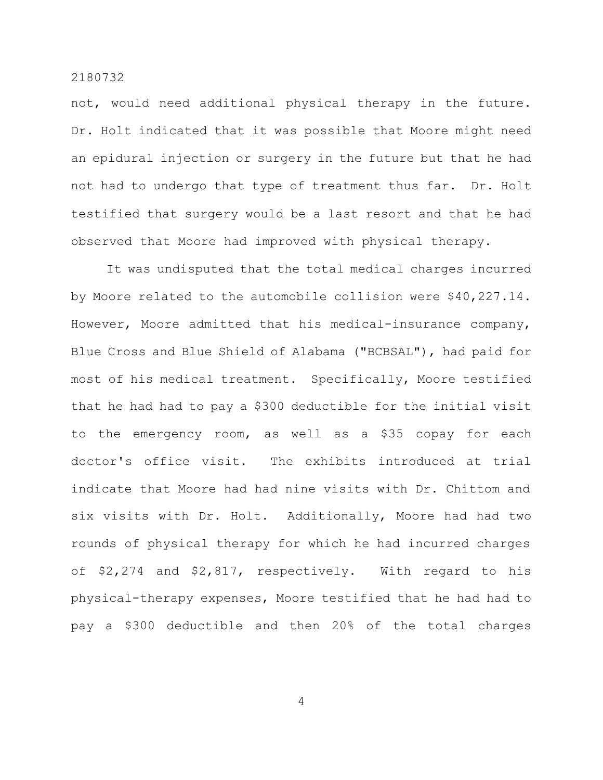not, would need additional physical therapy in the future. Dr. Holt indicated that it was possible that Moore might need an epidural injection or surgery in the future but that he had not had to undergo that type of treatment thus far. Dr. Holt testified that surgery would be a last resort and that he had observed that Moore had improved with physical therapy.

It was undisputed that the total medical charges incurred by Moore related to the automobile collision were \$40,227.14. However, Moore admitted that his medical-insurance company, Blue Cross and Blue Shield of Alabama ("BCBSAL"), had paid for most of his medical treatment. Specifically, Moore testified that he had had to pay a \$300 deductible for the initial visit to the emergency room, as well as a \$35 copay for each doctor's office visit. The exhibits introduced at trial indicate that Moore had had nine visits with Dr. Chittom and six visits with Dr. Holt. Additionally, Moore had had two rounds of physical therapy for which he had incurred charges of \$2,274 and \$2,817, respectively. With regard to his physical-therapy expenses, Moore testified that he had had to pay a \$300 deductible and then 20% of the total charges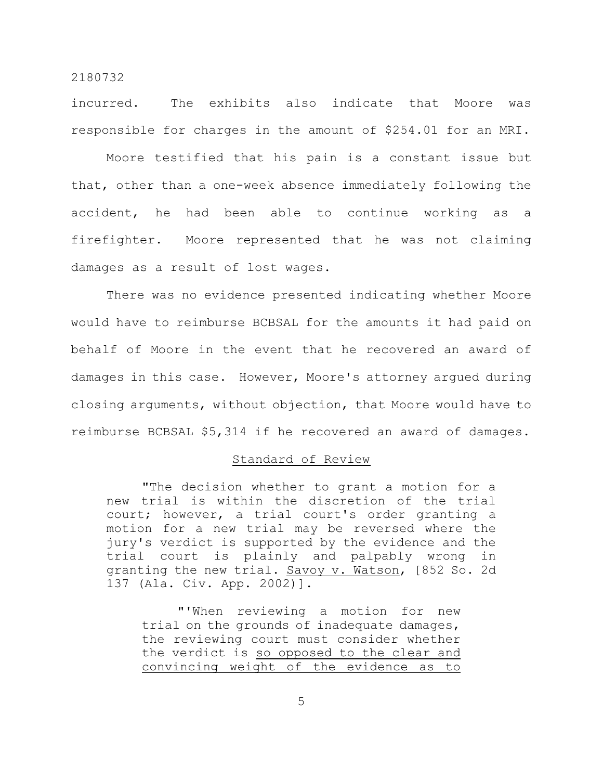incurred. The exhibits also indicate that Moore was responsible for charges in the amount of \$254.01 for an MRI.

Moore testified that his pain is a constant issue but that, other than a one-week absence immediately following the accident, he had been able to continue working as a firefighter. Moore represented that he was not claiming damages as a result of lost wages.

There was no evidence presented indicating whether Moore would have to reimburse BCBSAL for the amounts it had paid on behalf of Moore in the event that he recovered an award of damages in this case. However, Moore's attorney argued during closing arguments, without objection, that Moore would have to reimburse BCBSAL \$5,314 if he recovered an award of damages.

#### Standard of Review

"The decision whether to grant a motion for a new trial is within the discretion of the trial court; however, a trial court's order granting a motion for a new trial may be reversed where the jury's verdict is supported by the evidence and the trial court is plainly and palpably wrong in granting the new trial. Savoy v. Watson, [852 So. 2d 137 (Ala. Civ. App. 2002)].

"'When reviewing a motion for new trial on the grounds of inadequate damages, the reviewing court must consider whether the verdict is so opposed to the clear and convincing weight of the evidence as to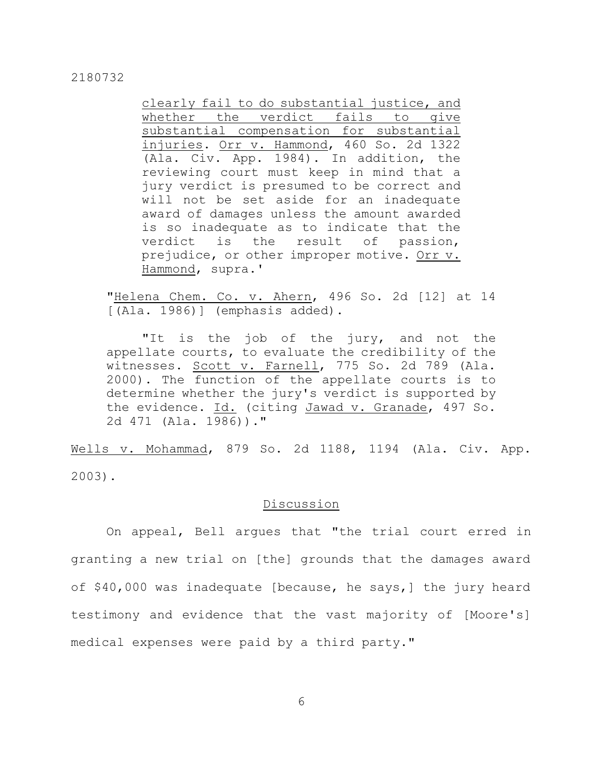clearly fail to do substantial justice, and whether the verdict fails to give substantial compensation for substantial injuries. Orr v. Hammond, 460 So. 2d 1322 (Ala. Civ. App. 1984). In addition, the reviewing court must keep in mind that a jury verdict is presumed to be correct and will not be set aside for an inadequate award of damages unless the amount awarded is so inadequate as to indicate that the verdict is the result of passion, prejudice, or other improper motive. Orr v. Hammond, supra.'

"Helena Chem. Co. v. Ahern, 496 So. 2d [12] at 14  $[ (Ala. 1986) ]$  (emphasis added).

"It is the job of the jury, and not the appellate courts, to evaluate the credibility of the witnesses. Scott v. Farnell, 775 So. 2d 789 (Ala. 2000). The function of the appellate courts is to determine whether the jury's verdict is supported by the evidence. Id. (citing Jawad v. Granade, 497 So. 2d 471 (Ala. 1986))."

Wells v. Mohammad, 879 So. 2d 1188, 1194 (Ala. Civ. App. 2003).

## Discussion

On appeal, Bell argues that "the trial court erred in granting a new trial on [the] grounds that the damages award of \$40,000 was inadequate [because, he says,] the jury heard testimony and evidence that the vast majority of [Moore's] medical expenses were paid by a third party."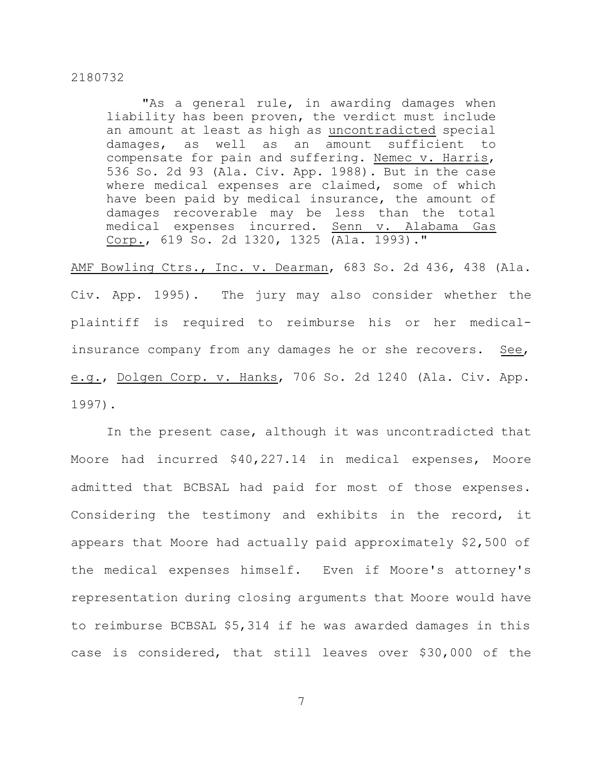"As a general rule, in awarding damages when liability has been proven, the verdict must include an amount at least as high as uncontradicted special damages, as well as an amount sufficient to compensate for pain and suffering. Nemec v. Harris, 536 So. 2d 93 (Ala. Civ. App. 1988). But in the case where medical expenses are claimed, some of which have been paid by medical insurance, the amount of damages recoverable may be less than the total medical expenses incurred. Senn v. Alabama Gas Corp., 619 So. 2d 1320, 1325 (Ala. 1993)."

AMF Bowling Ctrs., Inc. v. Dearman, 683 So. 2d 436, 438 (Ala. Civ. App. 1995). The jury may also consider whether the plaintiff is required to reimburse his or her medicalinsurance company from any damages he or she recovers. See, e.g., Dolgen Corp. v. Hanks, 706 So. 2d 1240 (Ala. Civ. App. 1997).

In the present case, although it was uncontradicted that Moore had incurred \$40,227.14 in medical expenses, Moore admitted that BCBSAL had paid for most of those expenses. Considering the testimony and exhibits in the record, it appears that Moore had actually paid approximately \$2,500 of the medical expenses himself. Even if Moore's attorney's representation during closing arguments that Moore would have to reimburse BCBSAL \$5,314 if he was awarded damages in this case is considered, that still leaves over \$30,000 of the